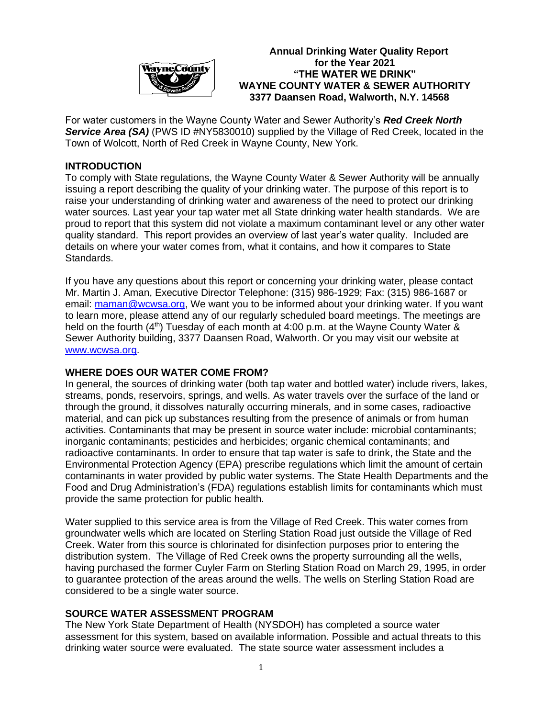

**Annual Drinking Water Quality Report** *MayneCrimity* for the Year 2021  **"THE WATER WE DRINK" WAYNE COUNTY WATER & SEWER AUTHORITY 3377 Daansen Road, Walworth, N.Y. 14568**

For water customers in the Wayne County Water and Sewer Authority's *Red Creek North* **Service Area (SA)** (PWS ID #NY5830010) supplied by the Village of Red Creek, located in the Town of Wolcott, North of Red Creek in Wayne County, New York.

# **INTRODUCTION**

To comply with State regulations, the Wayne County Water & Sewer Authority will be annually issuing a report describing the quality of your drinking water. The purpose of this report is to raise your understanding of drinking water and awareness of the need to protect our drinking water sources. Last year your tap water met all State drinking water health standards. We are proud to report that this system did not violate a maximum contaminant level or any other water quality standard. This report provides an overview of last year's water quality. Included are details on where your water comes from, what it contains, and how it compares to State Standards.

If you have any questions about this report or concerning your drinking water, please contact Mr. Martin J. Aman, Executive Director Telephone: (315) 986-1929; Fax: (315) 986-1687 or email: [maman@wcwsa.org,](mailto:maman@wcwsa.org) We want you to be informed about your drinking water. If you want to learn more, please attend any of our regularly scheduled board meetings. The meetings are held on the fourth  $(4^{th})$  Tuesday of each month at 4:00 p.m. at the Wayne County Water & Sewer Authority building, 3377 Daansen Road, Walworth. Or you may visit our website at [www.wcwsa.org.](http://www.wcwsa.org/)

# **WHERE DOES OUR WATER COME FROM?**

In general, the sources of drinking water (both tap water and bottled water) include rivers, lakes, streams, ponds, reservoirs, springs, and wells. As water travels over the surface of the land or through the ground, it dissolves naturally occurring minerals, and in some cases, radioactive material, and can pick up substances resulting from the presence of animals or from human activities. Contaminants that may be present in source water include: microbial contaminants; inorganic contaminants; pesticides and herbicides; organic chemical contaminants; and radioactive contaminants. In order to ensure that tap water is safe to drink, the State and the Environmental Protection Agency (EPA) prescribe regulations which limit the amount of certain contaminants in water provided by public water systems. The State Health Departments and the Food and Drug Administration's (FDA) regulations establish limits for contaminants which must provide the same protection for public health.

Water supplied to this service area is from the Village of Red Creek. This water comes from groundwater wells which are located on Sterling Station Road just outside the Village of Red Creek. Water from this source is chlorinated for disinfection purposes prior to entering the distribution system. The Village of Red Creek owns the property surrounding all the wells, having purchased the former Cuyler Farm on Sterling Station Road on March 29, 1995, in order to guarantee protection of the areas around the wells. The wells on Sterling Station Road are considered to be a single water source.

# **SOURCE WATER ASSESSMENT PROGRAM**

The New York State Department of Health (NYSDOH) has completed a source water assessment for this system, based on available information. Possible and actual threats to this drinking water source were evaluated. The state source water assessment includes a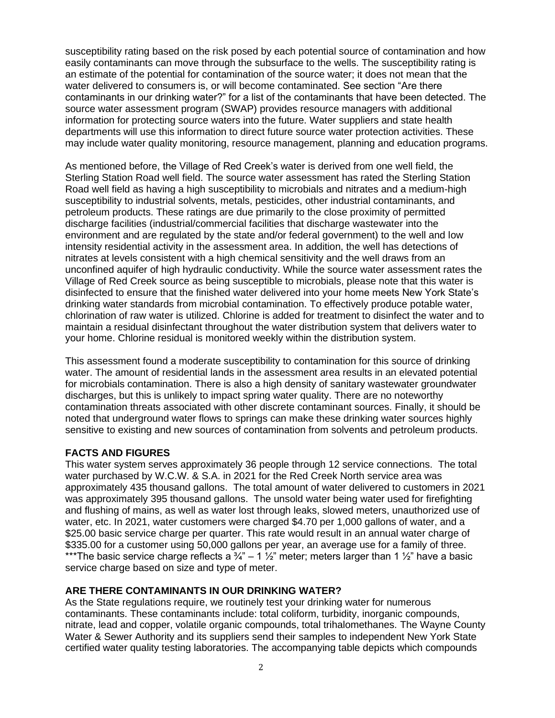susceptibility rating based on the risk posed by each potential source of contamination and how easily contaminants can move through the subsurface to the wells. The susceptibility rating is an estimate of the potential for contamination of the source water; it does not mean that the water delivered to consumers is, or will become contaminated. See section "Are there contaminants in our drinking water?" for a list of the contaminants that have been detected. The source water assessment program (SWAP) provides resource managers with additional information for protecting source waters into the future. Water suppliers and state health departments will use this information to direct future source water protection activities. These may include water quality monitoring, resource management, planning and education programs.

As mentioned before, the Village of Red Creek's water is derived from one well field, the Sterling Station Road well field. The source water assessment has rated the Sterling Station Road well field as having a high susceptibility to microbials and nitrates and a medium-high susceptibility to industrial solvents, metals, pesticides, other industrial contaminants, and petroleum products. These ratings are due primarily to the close proximity of permitted discharge facilities (industrial/commercial facilities that discharge wastewater into the environment and are regulated by the state and/or federal government) to the well and low intensity residential activity in the assessment area. In addition, the well has detections of nitrates at levels consistent with a high chemical sensitivity and the well draws from an unconfined aquifer of high hydraulic conductivity. While the source water assessment rates the Village of Red Creek source as being susceptible to microbials, please note that this water is disinfected to ensure that the finished water delivered into your home meets New York State's drinking water standards from microbial contamination. To effectively produce potable water, chlorination of raw water is utilized. Chlorine is added for treatment to disinfect the water and to maintain a residual disinfectant throughout the water distribution system that delivers water to your home. Chlorine residual is monitored weekly within the distribution system.

This assessment found a moderate susceptibility to contamination for this source of drinking water. The amount of residential lands in the assessment area results in an elevated potential for microbials contamination. There is also a high density of sanitary wastewater groundwater discharges, but this is unlikely to impact spring water quality. There are no noteworthy contamination threats associated with other discrete contaminant sources. Finally, it should be noted that underground water flows to springs can make these drinking water sources highly sensitive to existing and new sources of contamination from solvents and petroleum products.

# **FACTS AND FIGURES**

This water system serves approximately 36 people through 12 service connections. The total water purchased by W.C.W. & S.A. in 2021 for the Red Creek North service area was approximately 435 thousand gallons. The total amount of water delivered to customers in 2021 was approximately 395 thousand gallons. The unsold water being water used for firefighting and flushing of mains, as well as water lost through leaks, slowed meters, unauthorized use of water, etc. In 2021, water customers were charged \$4.70 per 1,000 gallons of water, and a \$25.00 basic service charge per quarter. This rate would result in an annual water charge of \$335.00 for a customer using 50,000 gallons per year, an average use for a family of three. \*\*\*The basic service charge reflects a  $\frac{3}{4}$ " – 1  $\frac{1}{2}$ " meter; meters larger than 1  $\frac{1}{2}$ " have a basic service charge based on size and type of meter.

# **ARE THERE CONTAMINANTS IN OUR DRINKING WATER?**

As the State regulations require, we routinely test your drinking water for numerous contaminants. These contaminants include: total coliform, turbidity, inorganic compounds, nitrate, lead and copper, volatile organic compounds, total trihalomethanes. The Wayne County Water & Sewer Authority and its suppliers send their samples to independent New York State certified water quality testing laboratories. The accompanying table depicts which compounds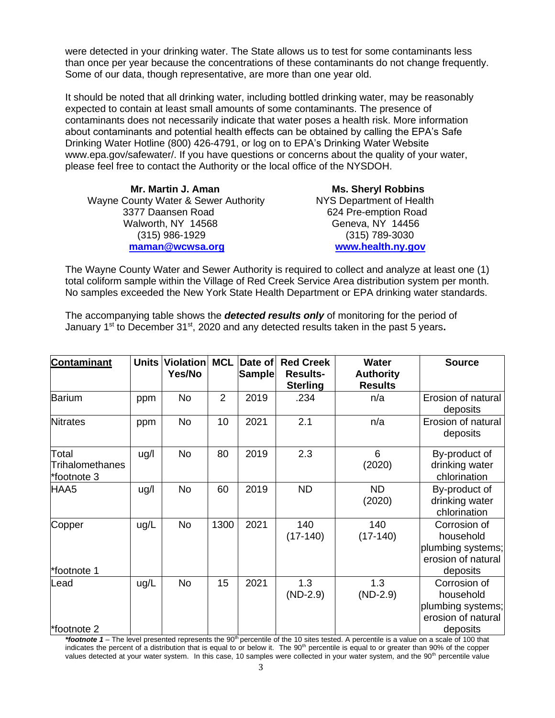were detected in your drinking water. The State allows us to test for some contaminants less than once per year because the concentrations of these contaminants do not change frequently. Some of our data, though representative, are more than one year old.

It should be noted that all drinking water, including bottled drinking water, may be reasonably expected to contain at least small amounts of some contaminants. The presence of contaminants does not necessarily indicate that water poses a health risk. More information about contaminants and potential health effects can be obtained by calling the EPA's Safe Drinking Water Hotline (800) 426-4791, or log on to EPA's Drinking Water Website [www.epa.gov/safewater/.](http://www.epa.gov/safewater/) If you have questions or concerns about the quality of your water, please feel free to contact the Authority or the local office of the NYSDOH.

 **Mr. Martin J. Aman Ms. Sheryl Robbins** Wayne County Water & Sewer Authority NYS Department of Health 3377 Daansen Road 624 Pre-emption Road Walworth, NY 14568 Geneva, NY 14456 (315) 986-1929 (315) 789-3030 **[maman@wcwsa.org](mailto:maman@wcwsa.org) [www.health.ny.gov](http://www.health.ny.gov/)**

The Wayne County Water and Sewer Authority is required to collect and analyze at least one (1) total coliform sample within the Village of Red Creek Service Area distribution system per month. No samples exceeded the New York State Health Department or EPA drinking water standards.

The accompanying table shows the *detected results only* of monitoring for the period of January 1<sup>st</sup> to December 31<sup>st</sup>, 2020 and any detected results taken in the past 5 years.

| <b>Contaminant</b>                      | <b>Units</b> | <b>Violation</b><br>Yes/No | <b>MCL</b>     | Date of<br><b>Sample</b> | <b>Red Creek</b><br><b>Results-</b><br><b>Sterling</b> | Water<br><b>Authority</b><br><b>Results</b> | <b>Source</b>                                                                    |
|-----------------------------------------|--------------|----------------------------|----------------|--------------------------|--------------------------------------------------------|---------------------------------------------|----------------------------------------------------------------------------------|
| Barium                                  | ppm          | <b>No</b>                  | $\overline{2}$ | 2019                     | .234                                                   | n/a                                         | Erosion of natural<br>deposits                                                   |
| <b>Nitrates</b>                         | ppm          | <b>No</b>                  | 10             | 2021                     | 2.1                                                    | n/a                                         | Erosion of natural<br>deposits                                                   |
| Total<br>Trihalomethanes<br>*footnote 3 | ug/l         | <b>No</b>                  | 80             | 2019                     | 2.3                                                    | 6<br>(2020)                                 | By-product of<br>drinking water<br>chlorination                                  |
| HAA5                                    | ug/l         | <b>No</b>                  | 60             | 2019                     | <b>ND</b>                                              | <b>ND</b><br>(2020)                         | By-product of<br>drinking water<br>chlorination                                  |
| Copper<br>*footnote 1                   | ug/L         | <b>No</b>                  | 1300           | 2021                     | 140<br>$(17-140)$                                      | 140<br>$(17-140)$                           | Corrosion of<br>household<br>plumbing systems;<br>erosion of natural<br>deposits |
| Lead<br>*footnote 2                     | ug/L         | <b>No</b>                  | 15             | 2021                     | 1.3<br>$(ND-2.9)$                                      | 1.3<br>$(ND-2.9)$                           | Corrosion of<br>household<br>plumbing systems;<br>erosion of natural<br>deposits |

\*footnote 1 – The level presented represents the 90<sup>th</sup> percentile of the 10 sites tested. A percentile is a value on a scale of 100 that indicates the percent of a distribution that is equal to or below it. The 90<sup>th</sup> percentile is equal to or greater than 90% of the copper values detected at your water system. In this case, 10 samples were collected in your water system, and the 90<sup>th</sup> percentile value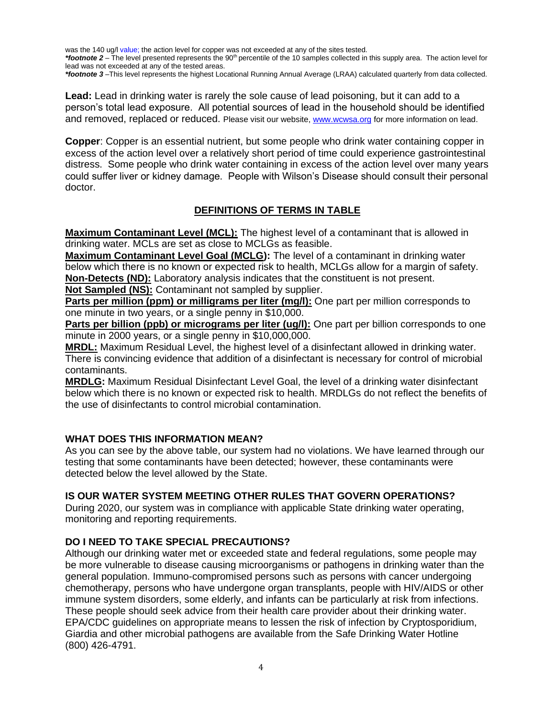was the 140 ug/l value; the action level for copper was not exceeded at any of the sites tested.

\*footnote 2 – The level presented represents the 90<sup>th</sup> percentile of the 10 samples collected in this supply area. The action level for lead was not exceeded at any of the tested areas.

*\*footnote 3* –This level represents the highest Locational Running Annual Average (LRAA) calculated quarterly from data collected.

**Lead:** Lead in drinking water is rarely the sole cause of lead poisoning, but it can add to a person's total lead exposure. All potential sources of lead in the household should be identified and removed, replaced or reduced. Please visit our website, [www.wcwsa.org](http://www.wcwsa.org/) for more information on lead.

**Copper**: Copper is an essential nutrient, but some people who drink water containing copper in excess of the action level over a relatively short period of time could experience gastrointestinal distress. Some people who drink water containing in excess of the action level over many years could suffer liver or kidney damage. People with Wilson's Disease should consult their personal doctor.

# **DEFINITIONS OF TERMS IN TABLE**

**Maximum Contaminant Level (MCL):** The highest level of a contaminant that is allowed in drinking water. MCLs are set as close to MCLGs as feasible.

**Maximum Contaminant Level Goal (MCLG):** The level of a contaminant in drinking water below which there is no known or expected risk to health, MCLGs allow for a margin of safety. **Non-Detects (ND):** Laboratory analysis indicates that the constituent is not present. **Not Sampled (NS):** Contaminant not sampled by supplier.

**Parts per million (ppm) or milligrams per liter (mg/l):** One part per million corresponds to

one minute in two years, or a single penny in \$10,000.

**Parts per billion (ppb) or micrograms per liter (ug/l):** One part per billion corresponds to one minute in 2000 years, or a single penny in \$10,000,000.

**MRDL:** Maximum Residual Level, the highest level of a disinfectant allowed in drinking water. There is convincing evidence that addition of a disinfectant is necessary for control of microbial contaminants.

**MRDLG:** Maximum Residual Disinfectant Level Goal, the level of a drinking water disinfectant below which there is no known or expected risk to health. MRDLGs do not reflect the benefits of the use of disinfectants to control microbial contamination.

# **WHAT DOES THIS INFORMATION MEAN?**

As you can see by the above table, our system had no violations. We have learned through our testing that some contaminants have been detected; however, these contaminants were detected below the level allowed by the State.

# **IS OUR WATER SYSTEM MEETING OTHER RULES THAT GOVERN OPERATIONS?**

During 2020, our system was in compliance with applicable State drinking water operating, monitoring and reporting requirements.

# **DO I NEED TO TAKE SPECIAL PRECAUTIONS?**

Although our drinking water met or exceeded state and federal regulations, some people may be more vulnerable to disease causing microorganisms or pathogens in drinking water than the general population. Immuno-compromised persons such as persons with cancer undergoing chemotherapy, persons who have undergone organ transplants, people with HIV/AIDS or other immune system disorders, some elderly, and infants can be particularly at risk from infections. These people should seek advice from their health care provider about their drinking water. EPA/CDC guidelines on appropriate means to lessen the risk of infection by Cryptosporidium, Giardia and other microbial pathogens are available from the Safe Drinking Water Hotline (800) 426-4791.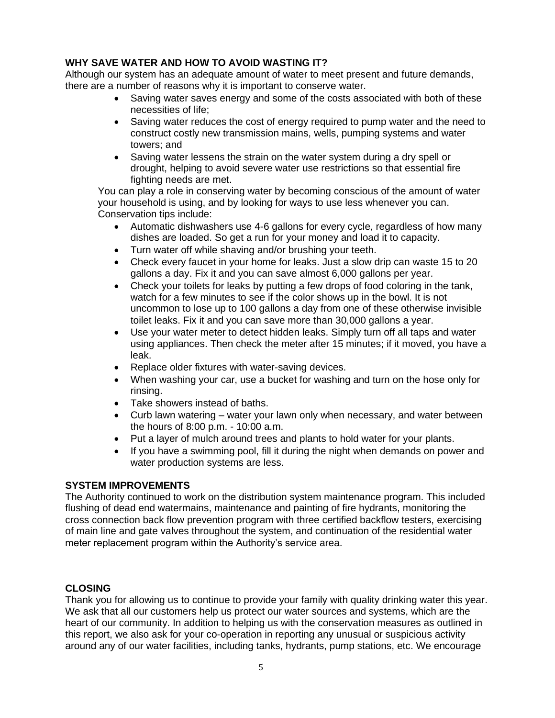# **WHY SAVE WATER AND HOW TO AVOID WASTING IT?**

Although our system has an adequate amount of water to meet present and future demands, there are a number of reasons why it is important to conserve water.

- Saving water saves energy and some of the costs associated with both of these necessities of life;
- Saving water reduces the cost of energy required to pump water and the need to construct costly new transmission mains, wells, pumping systems and water towers; and
- Saving water lessens the strain on the water system during a dry spell or drought, helping to avoid severe water use restrictions so that essential fire fighting needs are met.

You can play a role in conserving water by becoming conscious of the amount of water your household is using, and by looking for ways to use less whenever you can. Conservation tips include:

- Automatic dishwashers use 4-6 gallons for every cycle, regardless of how many dishes are loaded. So get a run for your money and load it to capacity.
- Turn water off while shaving and/or brushing your teeth.
- Check every faucet in your home for leaks. Just a slow drip can waste 15 to 20 gallons a day. Fix it and you can save almost 6,000 gallons per year.
- Check your toilets for leaks by putting a few drops of food coloring in the tank, watch for a few minutes to see if the color shows up in the bowl. It is not uncommon to lose up to 100 gallons a day from one of these otherwise invisible toilet leaks. Fix it and you can save more than 30,000 gallons a year.
- Use your water meter to detect hidden leaks. Simply turn off all taps and water using appliances. Then check the meter after 15 minutes; if it moved, you have a leak.
- Replace older fixtures with water-saving devices.
- When washing your car, use a bucket for washing and turn on the hose only for rinsing.
- Take showers instead of baths.
- Curb lawn watering water your lawn only when necessary, and water between the hours of 8:00 p.m. - 10:00 a.m.
- Put a layer of mulch around trees and plants to hold water for your plants.
- If you have a swimming pool, fill it during the night when demands on power and water production systems are less.

# **SYSTEM IMPROVEMENTS**

The Authority continued to work on the distribution system maintenance program. This included flushing of dead end watermains, maintenance and painting of fire hydrants, monitoring the cross connection back flow prevention program with three certified backflow testers, exercising of main line and gate valves throughout the system, and continuation of the residential water meter replacement program within the Authority's service area.

# **CLOSING**

Thank you for allowing us to continue to provide your family with quality drinking water this year. We ask that all our customers help us protect our water sources and systems, which are the heart of our community. In addition to helping us with the conservation measures as outlined in this report, we also ask for your co-operation in reporting any unusual or suspicious activity around any of our water facilities, including tanks, hydrants, pump stations, etc. We encourage